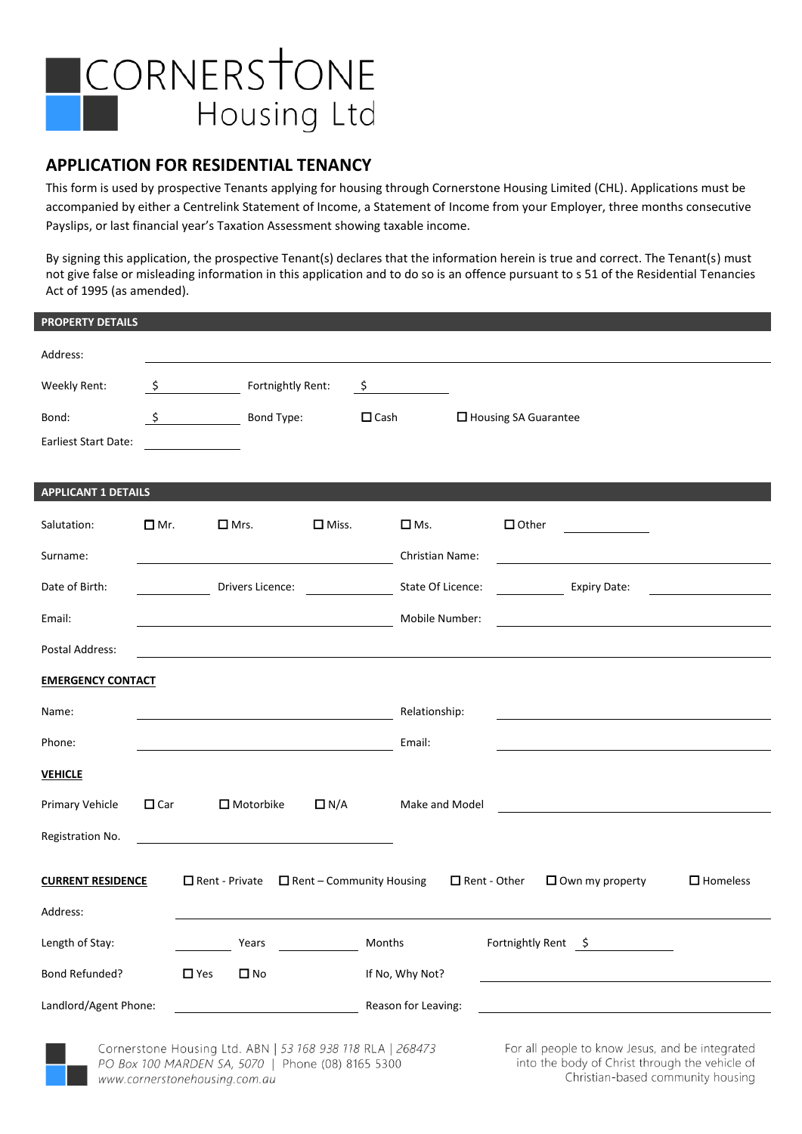

### **APPLICATION FOR RESIDENTIAL TENANCY**

This form is used by prospective Tenants applying for housing through Cornerstone Housing Limited (CHL). Applications must be accompanied by either a Centrelink Statement of Income, a Statement of Income from your Employer, three months consecutive Payslips, or last financial year's Taxation Assessment showing taxable income.

By signing this application, the prospective Tenant(s) declares that the information herein is true and correct. The Tenant(s) must not give false or misleading information in this application and to do so is an offence pursuant to s 51 of the Residential Tenancies Act of 1995 (as amended).

| <b>PROPERTY DETAILS</b>     |            |                |                   |                                 |                |                     |              |                        |                           |  |                    |
|-----------------------------|------------|----------------|-------------------|---------------------------------|----------------|---------------------|--------------|------------------------|---------------------------|--|--------------------|
| Address:                    |            |                |                   |                                 |                |                     |              |                        |                           |  |                    |
| Weekly Rent:                | \$         |                | Fortnightly Rent: |                                 | \$             |                     |              |                        |                           |  |                    |
| Bond:                       | $\zeta$    |                | Bond Type:        |                                 | $\square$ Cash |                     |              | □ Housing SA Guarantee |                           |  |                    |
| <b>Earliest Start Date:</b> |            |                |                   |                                 |                |                     |              |                        |                           |  |                    |
| <b>APPLICANT 1 DETAILS</b>  |            |                |                   |                                 |                |                     |              |                        |                           |  |                    |
| Salutation:                 | $\Box$ Mr. | $\square$ Mrs. |                   | $\square$ Miss.                 |                | $\square$ Ms.       |              | $\Box$ Other           |                           |  |                    |
| Surname:                    |            |                |                   |                                 |                | Christian Name:     |              |                        |                           |  |                    |
| Date of Birth:              |            |                | Drivers Licence:  |                                 |                | State Of Licence:   |              |                        | <b>Expiry Date:</b>       |  |                    |
| Email:                      |            |                |                   |                                 |                | Mobile Number:      |              |                        |                           |  |                    |
| Postal Address:             |            |                |                   |                                 |                |                     |              |                        |                           |  |                    |
| <b>EMERGENCY CONTACT</b>    |            |                |                   |                                 |                |                     |              |                        |                           |  |                    |
| Name:                       |            |                |                   |                                 |                | Relationship:       |              |                        |                           |  |                    |
| Phone:                      |            |                |                   |                                 |                | Email:              |              |                        |                           |  |                    |
| <b>VEHICLE</b>              |            |                |                   |                                 |                |                     |              |                        |                           |  |                    |
| Primary Vehicle             | $\Box$ Car |                | $\Box$ Motorbike  | $\Box N/A$                      |                | Make and Model      |              |                        |                           |  |                    |
| Registration No.            |            |                |                   |                                 |                |                     |              |                        |                           |  |                    |
| <b>CURRENT RESIDENCE</b>    |            | Rent - Private |                   | $\Box$ Rent - Community Housing |                |                     | Rent - Other |                        | $\square$ Own my property |  | $\square$ Homeless |
| Address:                    |            |                |                   |                                 |                |                     |              |                        |                           |  |                    |
| Length of Stay:             |            |                | Years             |                                 | Months         |                     |              | Fortnightly Rent \$    |                           |  |                    |
| <b>Bond Refunded?</b>       |            | $\Box$ Yes     | $\Box$ No         |                                 |                | If No, Why Not?     |              |                        |                           |  |                    |
| Landlord/Agent Phone:       |            |                |                   |                                 |                | Reason for Leaving: |              |                        |                           |  |                    |
|                             |            |                |                   |                                 |                |                     |              |                        |                           |  |                    |

Cornerstone Housing Ltd. ABN | 53 168 938 118 RLA | 268473 PO Box 100 MARDEN SA, 5070 | Phone (08) 8165 5300 www.cornerstonehousing.com.au

For all people to know Jesus, and be integrated into the body of Christ through the vehicle of Christian-based community housing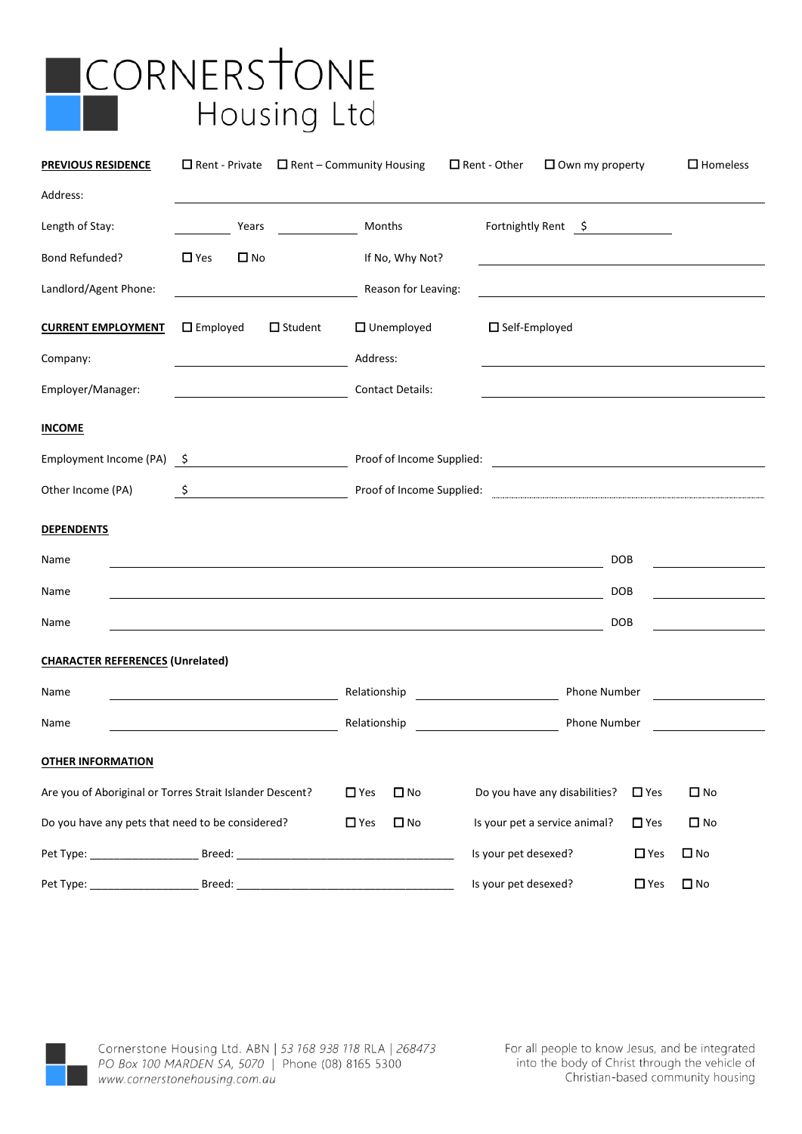# CORNERSTONE Housing Ltd

| <b>PREVIOUS RESIDENCE</b>                        | $\Box$ Rent - Private                                                                                            | $\Box$ Rent – Community Housing | $\Box$ Rent - Other<br>$\square$ Own my property                                                                      | $\square$ Homeless            |
|--------------------------------------------------|------------------------------------------------------------------------------------------------------------------|---------------------------------|-----------------------------------------------------------------------------------------------------------------------|-------------------------------|
| Address:                                         |                                                                                                                  |                                 |                                                                                                                       |                               |
| Length of Stay:                                  | Years                                                                                                            | Months                          | Fortnightly Rent \$                                                                                                   |                               |
| Bond Refunded?                                   | $\Box$ Yes<br>$\square$ No                                                                                       | If No, Why Not?                 |                                                                                                                       |                               |
| Landlord/Agent Phone:                            |                                                                                                                  | Reason for Leaving:             | <u> 1989 - Johann Harry Barn, mars ar breist fan de Fryske kommunent fan de Fryske kommunent fan de Fryske kommun</u> |                               |
| <b>CURRENT EMPLOYMENT</b>                        | $\square$ Employed<br>$\Box$ Student                                                                             | $\Box$ Unemployed               | $\square$ Self-Employed                                                                                               |                               |
| Company:                                         |                                                                                                                  | Address:                        |                                                                                                                       |                               |
| Employer/Manager:                                |                                                                                                                  | <b>Contact Details:</b>         |                                                                                                                       |                               |
| <b>INCOME</b>                                    |                                                                                                                  |                                 |                                                                                                                       |                               |
| Employment Income (PA) \$                        |                                                                                                                  |                                 |                                                                                                                       |                               |
| Other Income (PA)                                | \$                                                                                                               | Proof of Income Supplied:       |                                                                                                                       |                               |
| <b>DEPENDENTS</b>                                |                                                                                                                  |                                 |                                                                                                                       |                               |
| Name                                             |                                                                                                                  |                                 | <b>DOB</b>                                                                                                            |                               |
| Name                                             | and the control of the control of the control of the control of the control of the control of the control of the |                                 | <b>DOB</b>                                                                                                            |                               |
| Name                                             |                                                                                                                  |                                 | <b>DOB</b>                                                                                                            |                               |
| <b>CHARACTER REFERENCES (Unrelated)</b>          |                                                                                                                  |                                 |                                                                                                                       |                               |
| Name                                             |                                                                                                                  | Relationship                    | Phone Number                                                                                                          |                               |
| Name                                             |                                                                                                                  | Relationship                    | Phone Number                                                                                                          |                               |
| <b>OTHER INFORMATION</b>                         |                                                                                                                  |                                 |                                                                                                                       |                               |
|                                                  | Are you of Aboriginal or Torres Strait Islander Descent?                                                         | $\Box$ No<br>$\Box$ Yes         | Do you have any disabilities?                                                                                         | $\square$ No<br>$\Box$ Yes    |
| Do you have any pets that need to be considered? |                                                                                                                  | $\square$ No<br>$\Box$ Yes      | Is your pet a service animal?                                                                                         | $\square$ No<br>$\square$ Yes |
|                                                  |                                                                                                                  |                                 | Is your pet desexed?                                                                                                  | $\square$ No<br>$\Box$ Yes    |
| Pet Type:                                        | Breed:                                                                                                           |                                 | Is your pet desexed?                                                                                                  | $\square$ No<br>$\square$ Yes |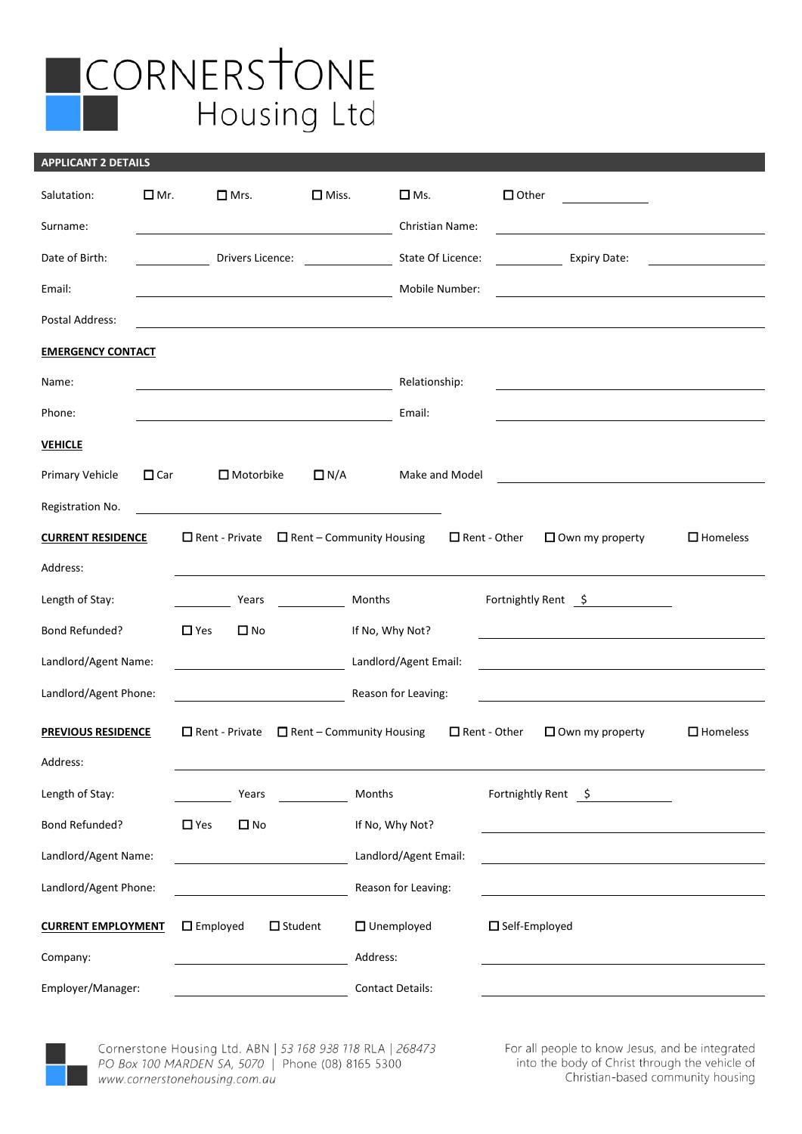## **ICORNERSTONE** Housing Ltd

#### **APPLICANT 2 DETAILS**

| Salutation:               | $\Box$ Mr. | $\Box$ Mrs.                | $\square$ Miss.                 |                         | $\square$ Ms.          |                     | $\Box$ Other            | <u> 1999 - Jan Jawa</u> |                 |
|---------------------------|------------|----------------------------|---------------------------------|-------------------------|------------------------|---------------------|-------------------------|-------------------------|-----------------|
| Surname:                  |            |                            |                                 |                         | <b>Christian Name:</b> |                     |                         |                         |                 |
| Date of Birth:            |            | Drivers Licence:           |                                 |                         | State Of Licence:      |                     |                         | <b>Expiry Date:</b>     |                 |
| Email:                    |            |                            |                                 |                         | Mobile Number:         |                     |                         |                         |                 |
| Postal Address:           |            |                            |                                 |                         |                        |                     |                         |                         |                 |
| <b>EMERGENCY CONTACT</b>  |            |                            |                                 |                         |                        |                     |                         |                         |                 |
| Name:                     |            |                            |                                 |                         | Relationship:          |                     |                         |                         |                 |
| Phone:                    |            |                            |                                 |                         | Email:                 |                     |                         |                         |                 |
| <b>VEHICLE</b>            |            |                            |                                 |                         |                        |                     |                         |                         |                 |
| <b>Primary Vehicle</b>    | $\Box$ Car | $\Box$ Motorbike           | $\Box$ N/A                      |                         | Make and Model         |                     |                         |                         |                 |
| Registration No.          |            |                            |                                 |                         |                        |                     |                         |                         |                 |
| <b>CURRENT RESIDENCE</b>  |            | $\Box$ Rent - Private      | $\Box$ Rent – Community Housing |                         |                        | $\Box$ Rent - Other |                         | $\Box$ Own my property  | $\Box$ Homeless |
| Address:                  |            |                            |                                 |                         |                        |                     |                         |                         |                 |
| Length of Stay:           |            | Years                      |                                 | Months                  |                        |                     |                         | Fortnightly Rent 5      |                 |
| Bond Refunded?            |            | $\Box$ Yes<br>$\square$ No |                                 | If No, Why Not?         |                        |                     |                         |                         |                 |
| Landlord/Agent Name:      |            |                            |                                 |                         | Landlord/Agent Email:  |                     |                         |                         |                 |
| Landlord/Agent Phone:     |            |                            |                                 |                         | Reason for Leaving:    |                     |                         |                         |                 |
| <b>PREVIOUS RESIDENCE</b> |            | $\Box$ Rent - Private      | $\Box$ Rent - Community Housing |                         |                        | $\Box$ Rent - Other |                         | $\Box$ Own my property  | $\Box$ Homeless |
| Address:                  |            |                            |                                 |                         |                        |                     |                         |                         |                 |
| Length of Stay:           |            | Years                      |                                 | Months                  |                        |                     | Fortnightly Rent \$     |                         |                 |
| Bond Refunded?            |            | $\Box$ Yes<br>$\square$ No |                                 | If No, Why Not?         |                        |                     |                         |                         |                 |
| Landlord/Agent Name:      |            |                            |                                 |                         | Landlord/Agent Email:  |                     |                         |                         |                 |
| Landlord/Agent Phone:     |            |                            |                                 |                         | Reason for Leaving:    |                     |                         |                         |                 |
| <b>CURRENT EMPLOYMENT</b> |            | $\square$ Employed         | $\square$ Student               | $\Box$ Unemployed       |                        |                     | $\square$ Self-Employed |                         |                 |
| Company:                  |            |                            |                                 | Address:                |                        |                     |                         |                         |                 |
| Employer/Manager:         |            |                            |                                 | <b>Contact Details:</b> |                        |                     |                         |                         |                 |



Cornerstone Housing Ltd. ABN | 53 168 938 118 RLA | 268473 PO Box 100 MARDEN SA, 5070 | Phone (08) 8165 5300 www.cornerstonehousing.com.au

For all people to know Jesus, and be integrated into the body of Christ through the vehicle of Christian-based community housing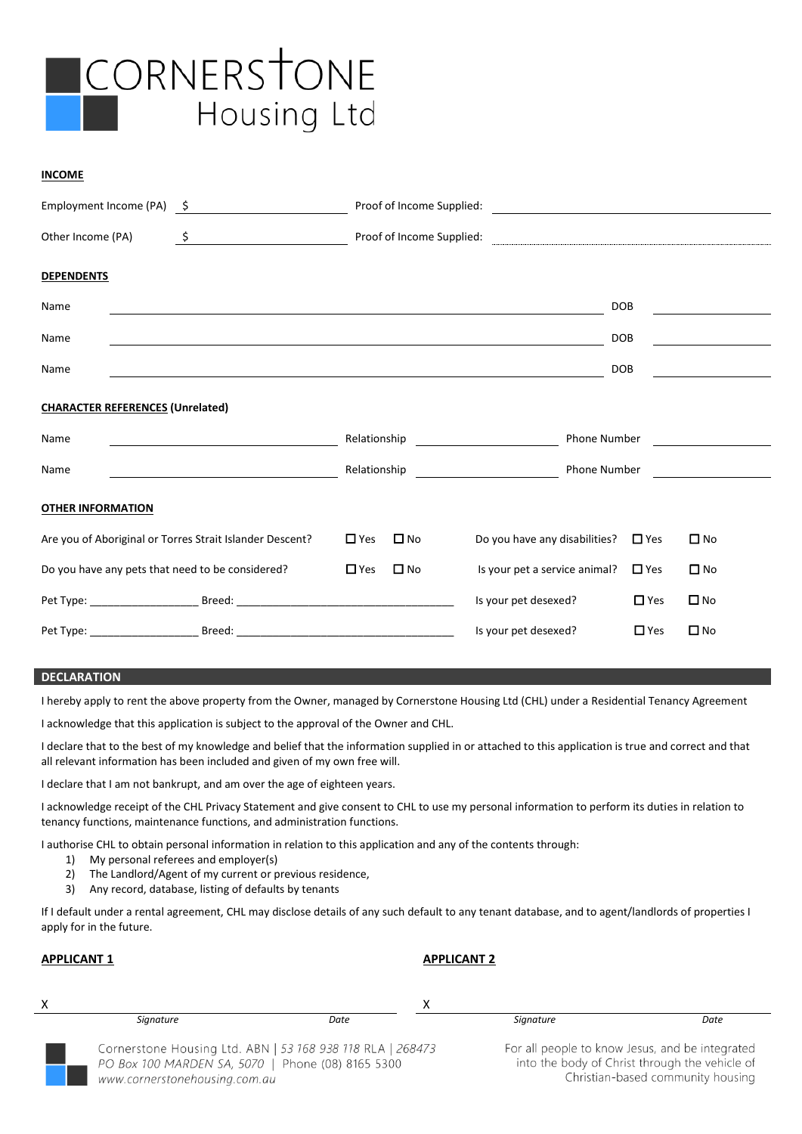

#### **INCOME**

|                                                  | Employment Income (PA) 5                                                                                                                                                                                                                                                                                                                            |               |              |                                                                    |            |                                                                                                                       |
|--------------------------------------------------|-----------------------------------------------------------------------------------------------------------------------------------------------------------------------------------------------------------------------------------------------------------------------------------------------------------------------------------------------------|---------------|--------------|--------------------------------------------------------------------|------------|-----------------------------------------------------------------------------------------------------------------------|
| Other Income (PA)                                | $\begin{picture}(20,10) \put(0,0){\line(1,0){10}} \put(15,0){\line(1,0){10}} \put(15,0){\line(1,0){10}} \put(15,0){\line(1,0){10}} \put(15,0){\line(1,0){10}} \put(15,0){\line(1,0){10}} \put(15,0){\line(1,0){10}} \put(15,0){\line(1,0){10}} \put(15,0){\line(1,0){10}} \put(15,0){\line(1,0){10}} \put(15,0){\line(1,0){10}} \put(15,0){\line(1$ |               |              |                                                                    |            |                                                                                                                       |
| <b>DEPENDENTS</b>                                |                                                                                                                                                                                                                                                                                                                                                     |               |              |                                                                    |            |                                                                                                                       |
| Name                                             |                                                                                                                                                                                                                                                                                                                                                     |               |              |                                                                    | <b>DOB</b> |                                                                                                                       |
| Name                                             |                                                                                                                                                                                                                                                                                                                                                     |               |              |                                                                    | <b>DOB</b> |                                                                                                                       |
| Name                                             | and the control of the control of the control of the control of the control of the control of the control of the                                                                                                                                                                                                                                    |               |              |                                                                    | <b>DOB</b> |                                                                                                                       |
| <b>CHARACTER REFERENCES (Unrelated)</b>          |                                                                                                                                                                                                                                                                                                                                                     |               |              |                                                                    |            |                                                                                                                       |
| Name                                             | <u> 1980 - Johann Barn, mars ar breithinn ar breithinn ar breithinn ar breithinn ar breithinn ar breithinn ar br</u>                                                                                                                                                                                                                                | Relationship  |              | Phone Number<br><u> 1990 - John Stein, Amerikaansk politiker (</u> |            |                                                                                                                       |
| Name                                             | <u> 1990 - Johann Barbara, martin a</u>                                                                                                                                                                                                                                                                                                             | Relationship  |              | Phone Number                                                       |            | <u>and the state of the state of the state of the state of the state of the state of the state of the state of th</u> |
| <b>OTHER INFORMATION</b>                         |                                                                                                                                                                                                                                                                                                                                                     |               |              |                                                                    |            |                                                                                                                       |
|                                                  | Are you of Aboriginal or Torres Strait Islander Descent?                                                                                                                                                                                                                                                                                            | $\square$ Yes | $\square$ No | Do you have any disabilities?                                      | $\Box$ Yes | $\square$ No                                                                                                          |
| Do you have any pets that need to be considered? |                                                                                                                                                                                                                                                                                                                                                     | $\Box$ Yes    | $\square$ No | Is your pet a service animal?                                      | $\Box$ Yes | $\square$ No                                                                                                          |
|                                                  |                                                                                                                                                                                                                                                                                                                                                     |               |              | Is your pet desexed?                                               | $\Box$ Yes | $\square$ No                                                                                                          |
|                                                  |                                                                                                                                                                                                                                                                                                                                                     |               |              | Is your pet desexed?                                               | $\Box$ Yes | $\square$ No                                                                                                          |

#### **DECLARATION**

I hereby apply to rent the above property from the Owner, managed by Cornerstone Housing Ltd (CHL) under a Residential Tenancy Agreement

I acknowledge that this application is subject to the approval of the Owner and CHL.

I declare that to the best of my knowledge and belief that the information supplied in or attached to this application is true and correct and that all relevant information has been included and given of my own free will.

I declare that I am not bankrupt, and am over the age of eighteen years.

I acknowledge receipt of the CHL Privacy Statement and give consent to CHL to use my personal information to perform its duties in relation to tenancy functions, maintenance functions, and administration functions.

I authorise CHL to obtain personal information in relation to this application and any of the contents through:

- 1) My personal referees and employer(s)
- 2) The Landlord/Agent of my current or previous residence,
- 3) Any record, database, listing of defaults by tenants

If I default under a rental agreement, CHL may disclose details of any such default to any tenant database, and to agent/landlords of properties I apply for in the future.

#### **APPLICANT 1 APPLICANT 2**

| Signature                                                                                                                                        | Date | Signature                                                                                         | Date                              |
|--------------------------------------------------------------------------------------------------------------------------------------------------|------|---------------------------------------------------------------------------------------------------|-----------------------------------|
| Cornerstone Housing Ltd. ABN   53 168 938 118 RLA   268473<br>PO Box 100 MARDEN SA, 5070   Phone (08) 8165 5300<br>www.cornerstonehousing.com.au |      | For all people to know Jesus, and be integrated<br>into the body of Christ through the vehicle of | Christian-based community housing |